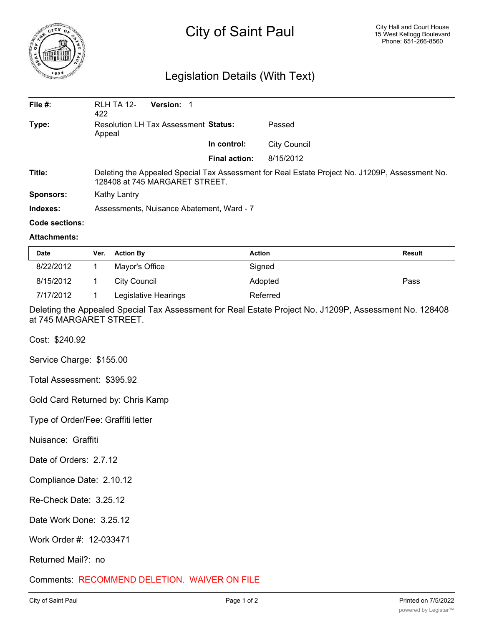

## City of Saint Paul

## Legislation Details (With Text)

| File $#$ :       | <b>Version: 1</b><br><b>RLH TA 12-</b><br>422                                                                                     |  |                      |              |  |  |
|------------------|-----------------------------------------------------------------------------------------------------------------------------------|--|----------------------|--------------|--|--|
| Type:            | Resolution LH Tax Assessment Status:<br>Appeal                                                                                    |  |                      | Passed       |  |  |
|                  |                                                                                                                                   |  | In control:          | City Council |  |  |
|                  |                                                                                                                                   |  | <b>Final action:</b> | 8/15/2012    |  |  |
| Title:           | Deleting the Appealed Special Tax Assessment for Real Estate Project No. J1209P, Assessment No.<br>128408 at 745 MARGARET STREET. |  |                      |              |  |  |
| <b>Sponsors:</b> | Kathy Lantry                                                                                                                      |  |                      |              |  |  |
| Indexes:         | Assessments, Nuisance Abatement, Ward - 7                                                                                         |  |                      |              |  |  |

## **Code sections:**

## **Attachments:**

| <b>Date</b> | Ver. | <b>Action By</b>     | Action   | <b>Result</b> |
|-------------|------|----------------------|----------|---------------|
| 8/22/2012   |      | Mayor's Office       | Signed   |               |
| 8/15/2012   |      | City Council         | Adopted  | Pass          |
| 7/17/2012   |      | Legislative Hearings | Referred |               |

Deleting the Appealed Special Tax Assessment for Real Estate Project No. J1209P, Assessment No. 128408 at 745 MARGARET STREET.

Cost: \$240.92

Service Charge: \$155.00

Total Assessment: \$395.92

Gold Card Returned by: Chris Kamp

Type of Order/Fee: Graffiti letter

Nuisance: Graffiti

Date of Orders: 2.7.12

Compliance Date: 2.10.12

Re-Check Date: 3.25.12

Date Work Done: 3.25.12

Work Order #: 12-033471

Returned Mail?: no

Comments: RECOMMEND DELETION. WAIVER ON FILE